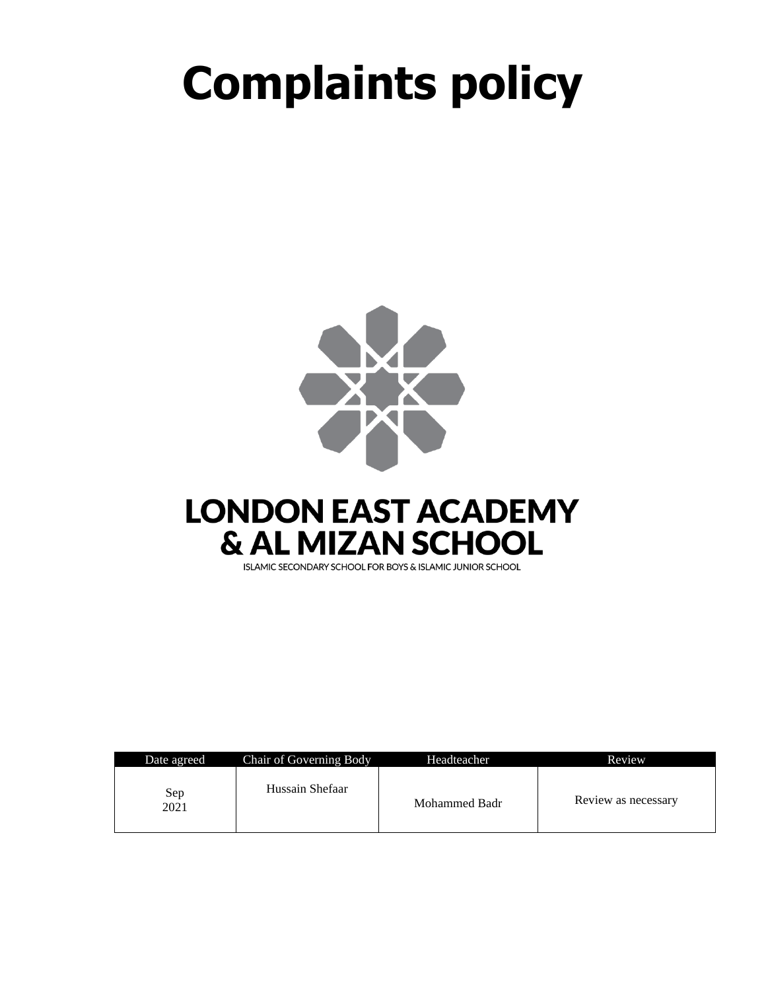# **Complaints policy**



| ISLAMIC SECONDARY SCHOOL FOR BOYS & ISLAMIC JUNIOR SCHOOL |  |  |  |
|-----------------------------------------------------------|--|--|--|
|                                                           |  |  |  |

| Date agreed | Chair of Governing Body | Headteacher   | Review              |
|-------------|-------------------------|---------------|---------------------|
| Sep<br>2021 | Hussain Shefaar         | Mohammed Badr | Review as necessary |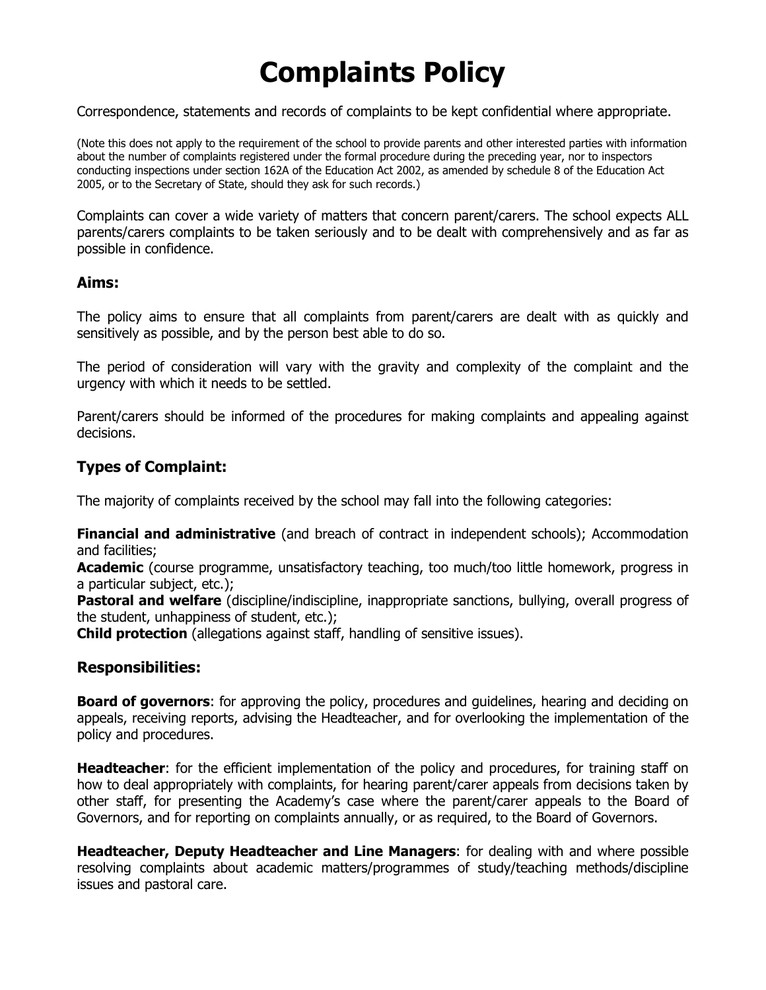# **Complaints Policy**

Correspondence, statements and records of complaints to be kept confidential where appropriate.

(Note this does not apply to the requirement of the school to provide parents and other interested parties with information about the number of complaints registered under the formal procedure during the preceding year, nor to inspectors conducting inspections under section 162A of the Education Act 2002, as amended by schedule 8 of the Education Act 2005, or to the Secretary of State, should they ask for such records.)

Complaints can cover a wide variety of matters that concern parent/carers. The school expects ALL parents/carers complaints to be taken seriously and to be dealt with comprehensively and as far as possible in confidence.

#### **Aims:**

The policy aims to ensure that all complaints from parent/carers are dealt with as quickly and sensitively as possible, and by the person best able to do so.

The period of consideration will vary with the gravity and complexity of the complaint and the urgency with which it needs to be settled.

Parent/carers should be informed of the procedures for making complaints and appealing against decisions.

#### **Types of Complaint:**

The majority of complaints received by the school may fall into the following categories:

**Financial and administrative** (and breach of contract in independent schools); Accommodation and facilities;

**Academic** (course programme, unsatisfactory teaching, too much/too little homework, progress in a particular subject, etc.);

**Pastoral and welfare** (discipline/indiscipline, inappropriate sanctions, bullying, overall progress of the student, unhappiness of student, etc.);

**Child protection** (allegations against staff, handling of sensitive issues).

#### **Responsibilities:**

**Board of governors**: for approving the policy, procedures and guidelines, hearing and deciding on appeals, receiving reports, advising the Headteacher, and for overlooking the implementation of the policy and procedures.

**Headteacher**: for the efficient implementation of the policy and procedures, for training staff on how to deal appropriately with complaints, for hearing parent/carer appeals from decisions taken by other staff, for presenting the Academy's case where the parent/carer appeals to the Board of Governors, and for reporting on complaints annually, or as required, to the Board of Governors.

**Headteacher, Deputy Headteacher and Line Managers**: for dealing with and where possible resolving complaints about academic matters/programmes of study/teaching methods/discipline issues and pastoral care.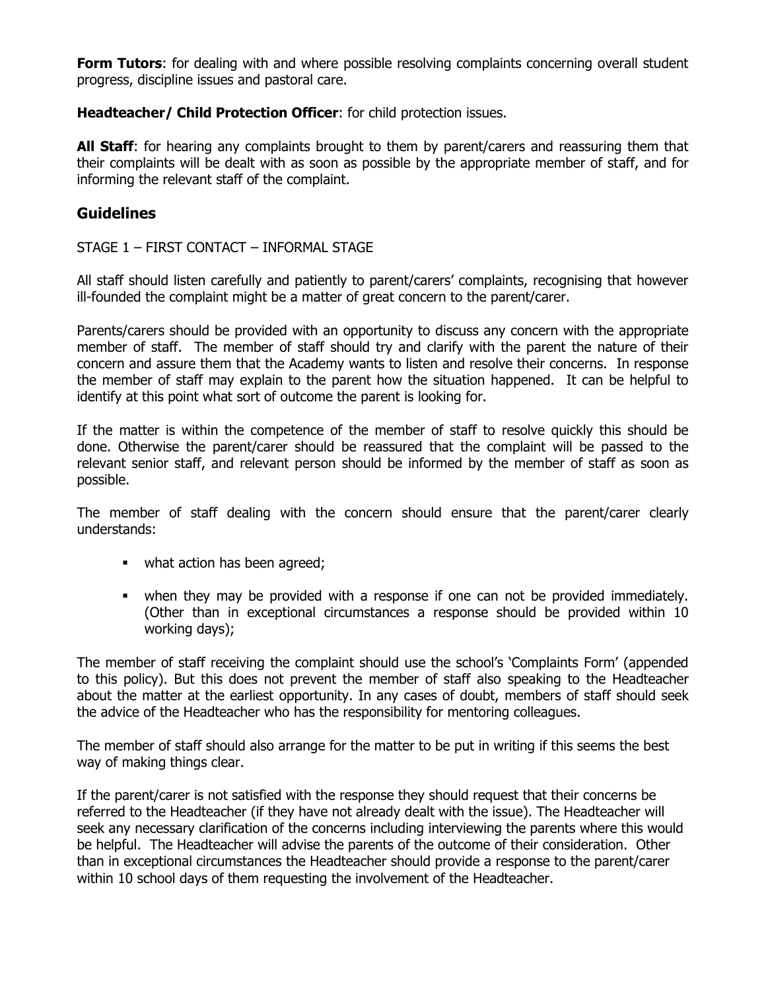**Form Tutors**: for dealing with and where possible resolving complaints concerning overall student progress, discipline issues and pastoral care.

#### **Headteacher/ Child Protection Officer**: for child protection issues.

**All Staff**: for hearing any complaints brought to them by parent/carers and reassuring them that their complaints will be dealt with as soon as possible by the appropriate member of staff, and for informing the relevant staff of the complaint.

#### **Guidelines**

STAGE 1 – FIRST CONTACT – INFORMAL STAGE

All staff should listen carefully and patiently to parent/carers' complaints, recognising that however ill-founded the complaint might be a matter of great concern to the parent/carer.

Parents/carers should be provided with an opportunity to discuss any concern with the appropriate member of staff. The member of staff should try and clarify with the parent the nature of their concern and assure them that the Academy wants to listen and resolve their concerns. In response the member of staff may explain to the parent how the situation happened. It can be helpful to identify at this point what sort of outcome the parent is looking for.

If the matter is within the competence of the member of staff to resolve quickly this should be done. Otherwise the parent/carer should be reassured that the complaint will be passed to the relevant senior staff, and relevant person should be informed by the member of staff as soon as possible.

The member of staff dealing with the concern should ensure that the parent/carer clearly understands:

- what action has been agreed;
- when they may be provided with a response if one can not be provided immediately. (Other than in exceptional circumstances a response should be provided within 10 working days);

The member of staff receiving the complaint should use the school's 'Complaints Form' (appended to this policy). But this does not prevent the member of staff also speaking to the Headteacher about the matter at the earliest opportunity. In any cases of doubt, members of staff should seek the advice of the Headteacher who has the responsibility for mentoring colleagues.

The member of staff should also arrange for the matter to be put in writing if this seems the best way of making things clear.

If the parent/carer is not satisfied with the response they should request that their concerns be referred to the Headteacher (if they have not already dealt with the issue). The Headteacher will seek any necessary clarification of the concerns including interviewing the parents where this would be helpful. The Headteacher will advise the parents of the outcome of their consideration. Other than in exceptional circumstances the Headteacher should provide a response to the parent/carer within 10 school days of them requesting the involvement of the Headteacher.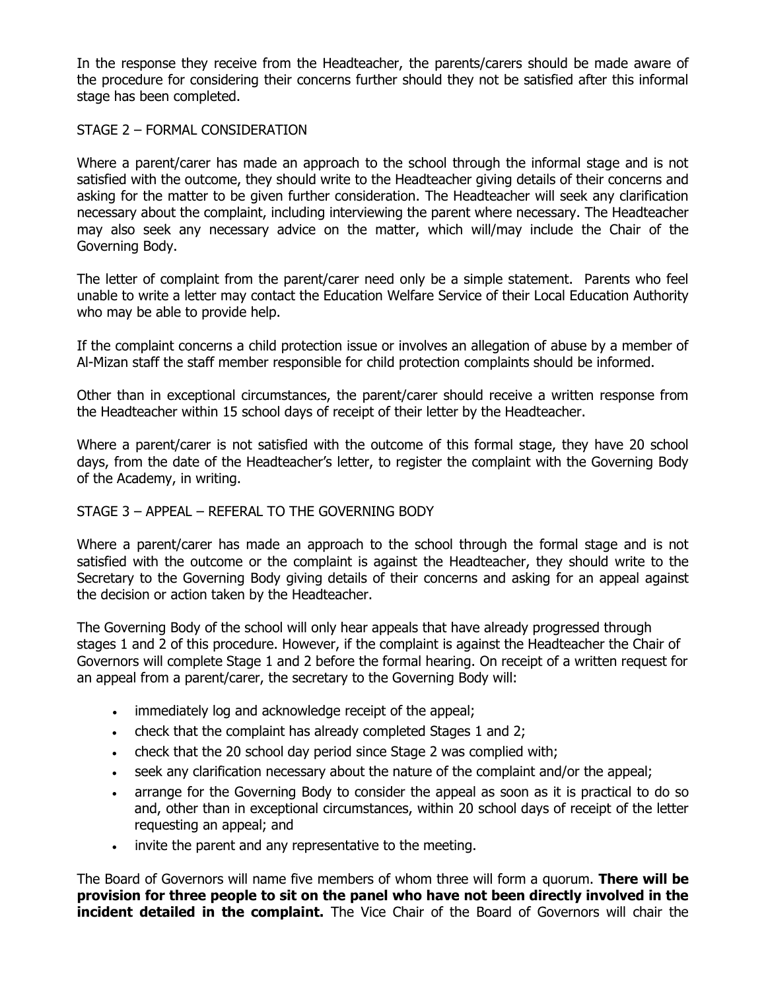In the response they receive from the Headteacher, the parents/carers should be made aware of the procedure for considering their concerns further should they not be satisfied after this informal stage has been completed.

#### STAGE 2 – FORMAL CONSIDERATION

Where a parent/carer has made an approach to the school through the informal stage and is not satisfied with the outcome, they should write to the Headteacher giving details of their concerns and asking for the matter to be given further consideration. The Headteacher will seek any clarification necessary about the complaint, including interviewing the parent where necessary. The Headteacher may also seek any necessary advice on the matter, which will/may include the Chair of the Governing Body.

The letter of complaint from the parent/carer need only be a simple statement. Parents who feel unable to write a letter may contact the Education Welfare Service of their Local Education Authority who may be able to provide help.

If the complaint concerns a child protection issue or involves an allegation of abuse by a member of Al-Mizan staff the staff member responsible for child protection complaints should be informed.

Other than in exceptional circumstances, the parent/carer should receive a written response from the Headteacher within 15 school days of receipt of their letter by the Headteacher.

Where a parent/carer is not satisfied with the outcome of this formal stage, they have 20 school days, from the date of the Headteacher's letter, to register the complaint with the Governing Body of the Academy, in writing.

#### STAGE 3 – APPEAL – REFERAL TO THE GOVERNING BODY

Where a parent/carer has made an approach to the school through the formal stage and is not satisfied with the outcome or the complaint is against the Headteacher, they should write to the Secretary to the Governing Body giving details of their concerns and asking for an appeal against the decision or action taken by the Headteacher.

The Governing Body of the school will only hear appeals that have already progressed through stages 1 and 2 of this procedure. However, if the complaint is against the Headteacher the Chair of Governors will complete Stage 1 and 2 before the formal hearing. On receipt of a written request for an appeal from a parent/carer, the secretary to the Governing Body will:

- immediately log and acknowledge receipt of the appeal;
- check that the complaint has already completed Stages 1 and 2;
- check that the 20 school day period since Stage 2 was complied with;
- seek any clarification necessary about the nature of the complaint and/or the appeal;
- arrange for the Governing Body to consider the appeal as soon as it is practical to do so and, other than in exceptional circumstances, within 20 school days of receipt of the letter requesting an appeal; and
- invite the parent and any representative to the meeting.

The Board of Governors will name five members of whom three will form a quorum. **There will be provision for three people to sit on the panel who have not been directly involved in the incident detailed in the complaint.** The Vice Chair of the Board of Governors will chair the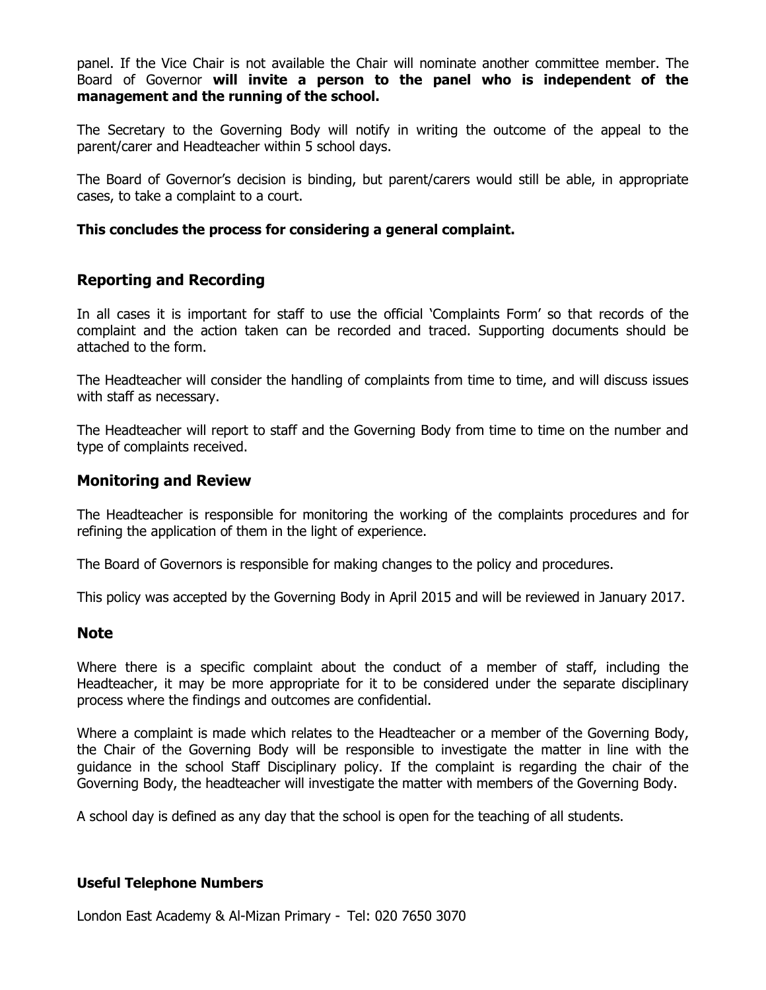panel. If the Vice Chair is not available the Chair will nominate another committee member. The Board of Governor **will invite a person to the panel who is independent of the management and the running of the school.**

The Secretary to the Governing Body will notify in writing the outcome of the appeal to the parent/carer and Headteacher within 5 school days.

The Board of Governor's decision is binding, but parent/carers would still be able, in appropriate cases, to take a complaint to a court.

#### **This concludes the process for considering a general complaint.**

#### **Reporting and Recording**

In all cases it is important for staff to use the official 'Complaints Form' so that records of the complaint and the action taken can be recorded and traced. Supporting documents should be attached to the form.

The Headteacher will consider the handling of complaints from time to time, and will discuss issues with staff as necessary.

The Headteacher will report to staff and the Governing Body from time to time on the number and type of complaints received.

#### **Monitoring and Review**

The Headteacher is responsible for monitoring the working of the complaints procedures and for refining the application of them in the light of experience.

The Board of Governors is responsible for making changes to the policy and procedures.

This policy was accepted by the Governing Body in April 2015 and will be reviewed in January 2017.

#### **Note**

Where there is a specific complaint about the conduct of a member of staff, including the Headteacher, it may be more appropriate for it to be considered under the separate disciplinary process where the findings and outcomes are confidential.

Where a complaint is made which relates to the Headteacher or a member of the Governing Body, the Chair of the Governing Body will be responsible to investigate the matter in line with the guidance in the school Staff Disciplinary policy. If the complaint is regarding the chair of the Governing Body, the headteacher will investigate the matter with members of the Governing Body.

A school day is defined as any day that the school is open for the teaching of all students.

#### **Useful Telephone Numbers**

London East Academy & Al-Mizan Primary - Tel: 020 7650 3070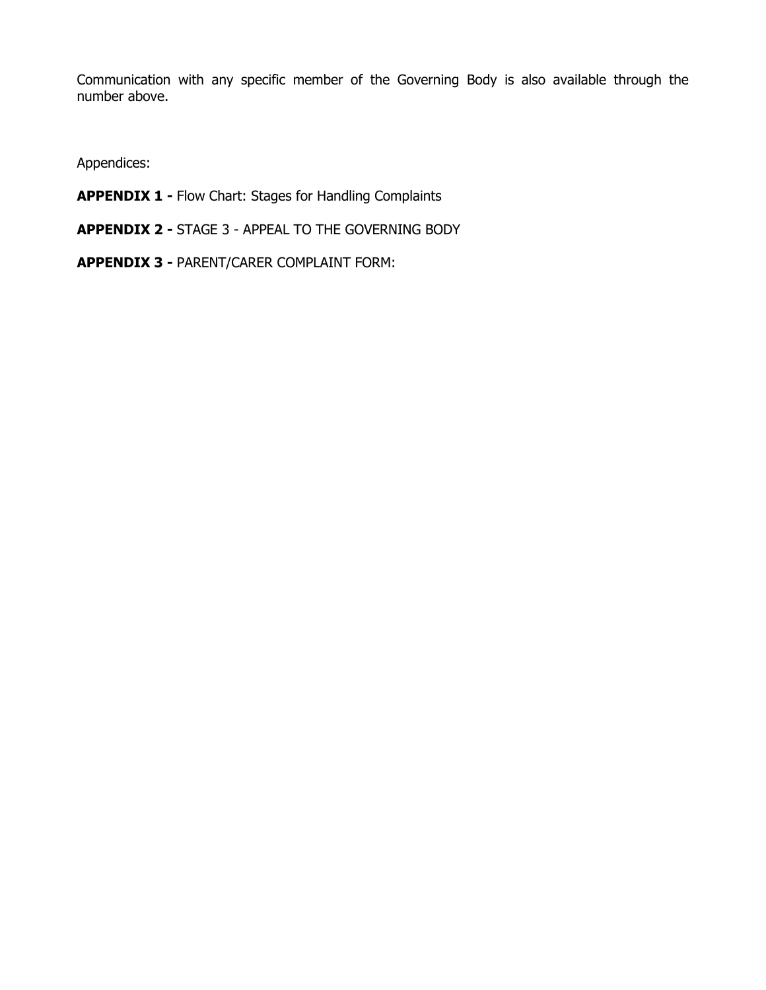Communication with any specific member of the Governing Body is also available through the number above.

Appendices:

- **APPENDIX 1 -** Flow Chart: Stages for Handling Complaints
- **APPENDIX 2 -** STAGE 3 APPEAL TO THE GOVERNING BODY
- **APPENDIX 3 -** PARENT/CARER COMPLAINT FORM: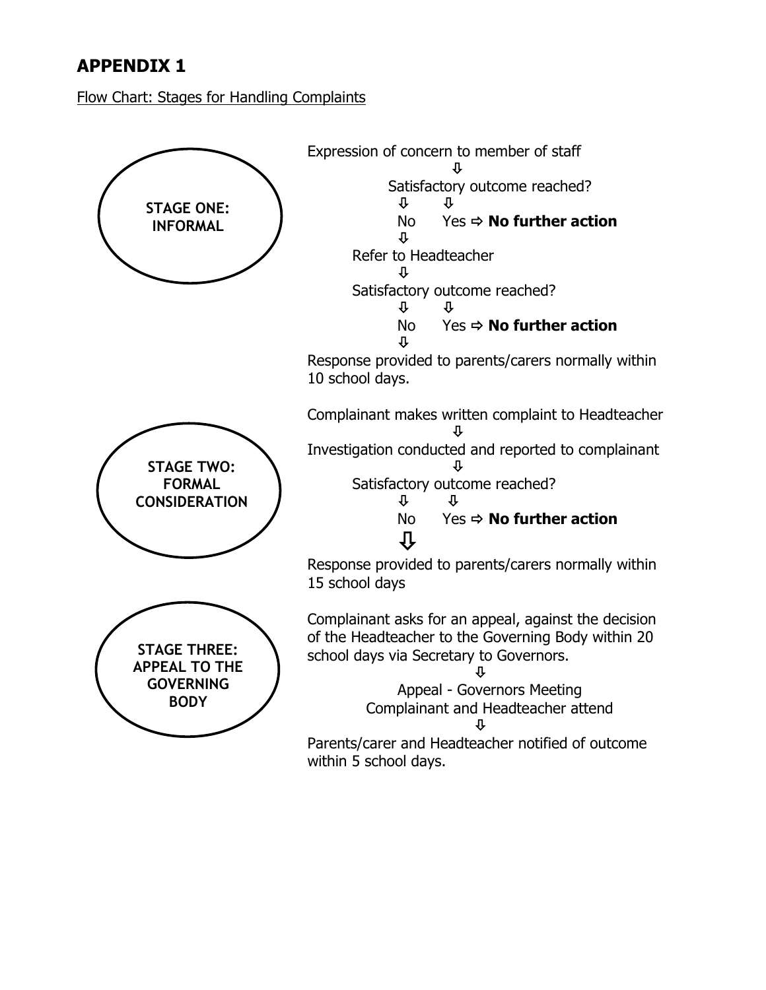## **APPENDIX 1**

Flow Chart: Stages for Handling Complaints

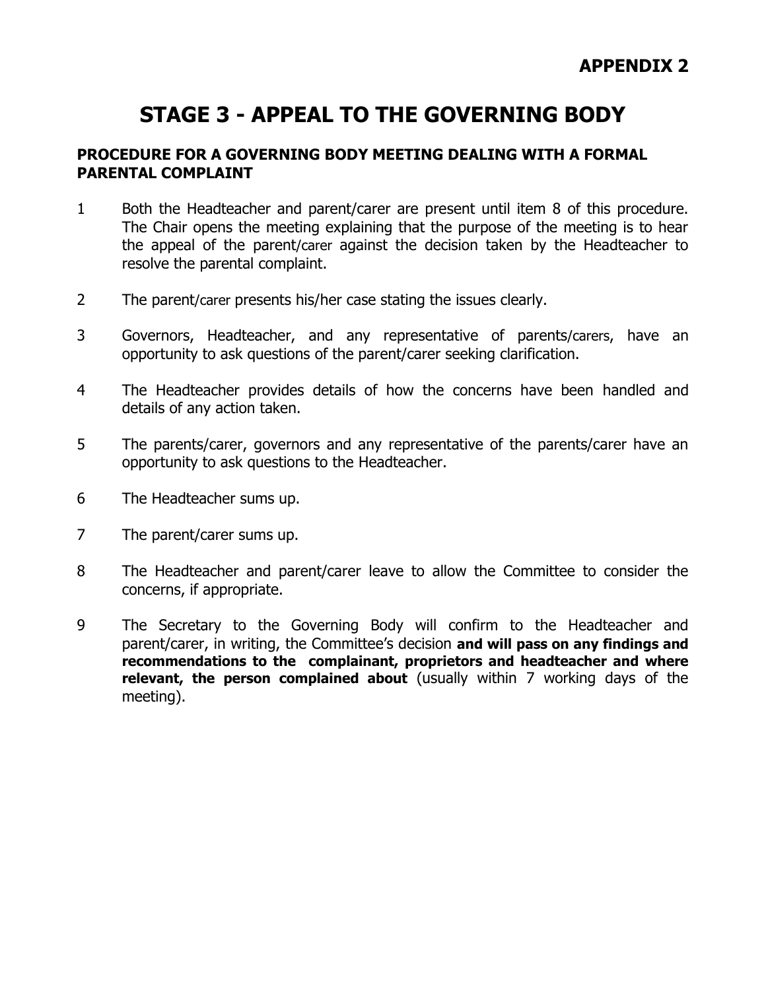# **STAGE 3 - APPEAL TO THE GOVERNING BODY**

#### **PROCEDURE FOR A GOVERNING BODY MEETING DEALING WITH A FORMAL PARENTAL COMPLAINT**

- 1 Both the Headteacher and parent/carer are present until item 8 of this procedure. The Chair opens the meeting explaining that the purpose of the meeting is to hear the appeal of the parent/carer against the decision taken by the Headteacher to resolve the parental complaint.
- 2 The parent/carer presents his/her case stating the issues clearly.
- 3 Governors, Headteacher, and any representative of parents/carers, have an opportunity to ask questions of the parent/carer seeking clarification.
- 4 The Headteacher provides details of how the concerns have been handled and details of any action taken.
- 5 The parents/carer, governors and any representative of the parents/carer have an opportunity to ask questions to the Headteacher.
- 6 The Headteacher sums up.
- 7 The parent/carer sums up.
- 8 The Headteacher and parent/carer leave to allow the Committee to consider the concerns, if appropriate.
- 9 The Secretary to the Governing Body will confirm to the Headteacher and parent/carer, in writing, the Committee's decision **and will pass on any findings and recommendations to the complainant, proprietors and headteacher and where relevant, the person complained about** (usually within 7 working days of the meeting).